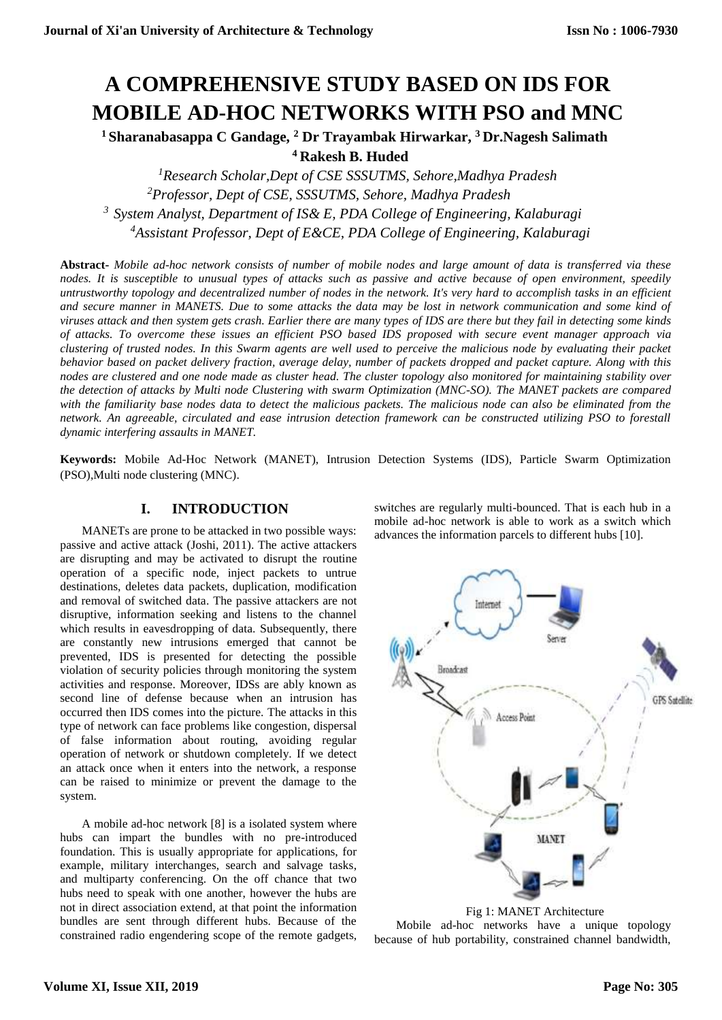# **A COMPREHENSIVE STUDY BASED ON IDS FOR MOBILE AD-HOC NETWORKS WITH PSO and MNC**

**<sup>1</sup>Sharanabasappa C Gandage, <sup>2</sup> Dr Trayambak Hirwarkar, <sup>3</sup>Dr.Nagesh Salimath <sup>4</sup>Rakesh B. Huded** 

*Research Scholar,Dept of CSE SSSUTMS, Sehore,Madhya Pradesh Professor, Dept of CSE, SSSUTMS, Sehore, Madhya Pradesh System Analyst, Department of IS& E, PDA College of Engineering, Kalaburagi Assistant Professor, Dept of E&CE, PDA College of Engineering, Kalaburagi*

**Abstract-** *Mobile ad-hoc network consists of number of mobile nodes and large amount of data is transferred via these nodes. It is susceptible to unusual types of attacks such as passive and active because of open environment, speedily untrustworthy topology and decentralized number of nodes in the network. It's very hard to accomplish tasks in an efficient and secure manner in MANETS. Due to some attacks the data may be lost in network communication and some kind of viruses attack and then system gets crash. Earlier there are many types of IDS are there but they fail in detecting some kinds of attacks. To overcome these issues an efficient PSO based IDS proposed with secure event manager approach via clustering of trusted nodes. In this Swarm agents are well used to perceive the malicious node by evaluating their packet behavior based on packet delivery fraction, average delay, number of packets dropped and packet capture. Along with this nodes are clustered and one node made as cluster head. The cluster topology also monitored for maintaining stability over the detection of attacks by Multi node Clustering with swarm Optimization (MNC-SO). The MANET packets are compared with the familiarity base nodes data to detect the malicious packets. The malicious node can also be eliminated from the network. An agreeable, circulated and ease intrusion detection framework can be constructed utilizing PSO to forestall dynamic interfering assaults in MANET.*

**Keywords:** Mobile Ad-Hoc Network (MANET), Intrusion Detection Systems (IDS), Particle Swarm Optimization (PSO),Multi node clustering (MNC).

# **I. INTRODUCTION**

MANETs are prone to be attacked in two possible ways: passive and active attack (Joshi, 2011). The active attackers are disrupting and may be activated to disrupt the routine operation of a specific node, inject packets to untrue destinations, deletes data packets, duplication, modification and removal of switched data. The passive attackers are not disruptive, information seeking and listens to the channel which results in eavesdropping of data. Subsequently, there are constantly new intrusions emerged that cannot be prevented, IDS is presented for detecting the possible violation of security policies through monitoring the system activities and response. Moreover, IDSs are ably known as second line of defense because when an intrusion has occurred then IDS comes into the picture. The attacks in this type of network can face problems like congestion, dispersal of false information about routing, avoiding regular operation of network or shutdown completely. If we detect an attack once when it enters into the network, a response can be raised to minimize or prevent the damage to the system.

A mobile ad-hoc network [8] is a isolated system where hubs can impart the bundles with no pre-introduced foundation. This is usually appropriate for applications, for example, military interchanges, search and salvage tasks, and multiparty conferencing. On the off chance that two hubs need to speak with one another, however the hubs are not in direct association extend, at that point the information bundles are sent through different hubs. Because of the constrained radio engendering scope of the remote gadgets, switches are regularly multi-bounced. That is each hub in a mobile ad-hoc network is able to work as a switch which advances the information parcels to different hubs [10].



 Fig 1: MANET Architecture Mobile ad-hoc networks have a unique topology because of hub portability, constrained channel bandwidth,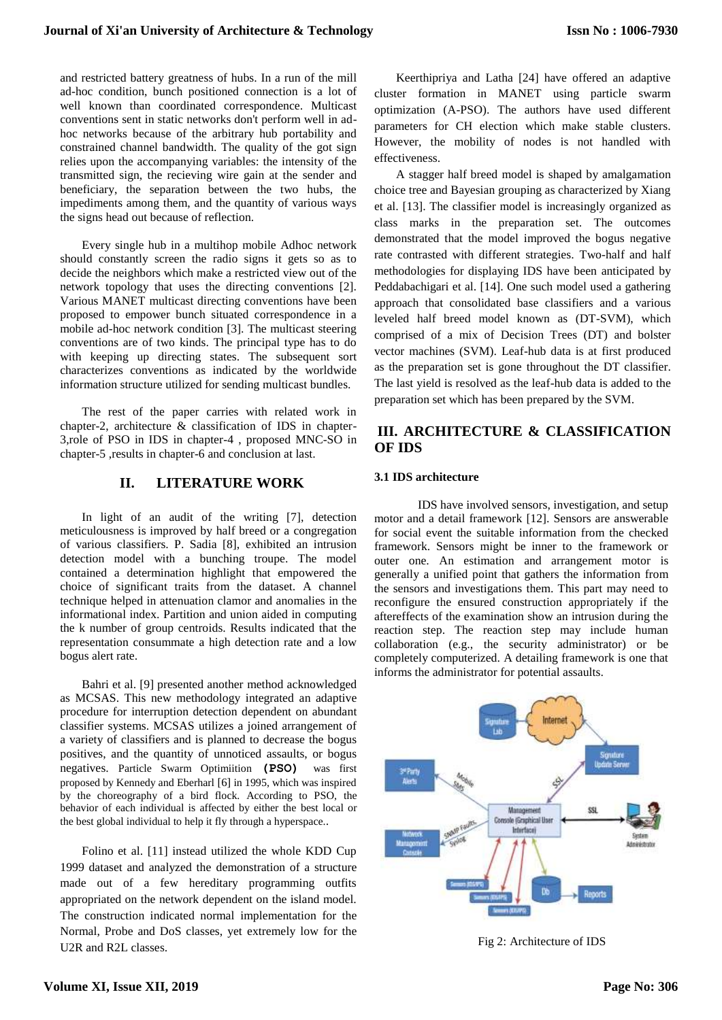and restricted battery greatness of hubs. In a run of the mill ad-hoc condition, bunch positioned connection is a lot of well known than coordinated correspondence. Multicast conventions sent in static networks don't perform well in adhoc networks because of the arbitrary hub portability and constrained channel bandwidth. The quality of the got sign relies upon the accompanying variables: the intensity of the transmitted sign, the recieving wire gain at the sender and beneficiary, the separation between the two hubs, the impediments among them, and the quantity of various ways the signs head out because of reflection.

Every single hub in a multihop mobile Adhoc network should constantly screen the radio signs it gets so as to decide the neighbors which make a restricted view out of the network topology that uses the directing conventions [2]. Various MANET multicast directing conventions have been proposed to empower bunch situated correspondence in a mobile ad-hoc network condition [3]. The multicast steering conventions are of two kinds. The principal type has to do with keeping up directing states. The subsequent sort characterizes conventions as indicated by the worldwide information structure utilized for sending multicast bundles.

The rest of the paper carries with related work in chapter-2, architecture & classification of IDS in chapter-3,role of PSO in IDS in chapter-4 , proposed MNC-SO in chapter-5 ,results in chapter-6 and conclusion at last.

## **II. LITERATURE WORK**

In light of an audit of the writing [7], detection meticulousness is improved by half breed or a congregation of various classifiers. P. Sadia [8], exhibited an intrusion detection model with a bunching troupe. The model contained a determination highlight that empowered the choice of significant traits from the dataset. A channel technique helped in attenuation clamor and anomalies in the informational index. Partition and union aided in computing the k number of group centroids. Results indicated that the representation consummate a high detection rate and a low bogus alert rate.

Bahri et al. [9] presented another method acknowledged as MCSAS. This new methodology integrated an adaptive procedure for interruption detection dependent on abundant classifier systems. MCSAS utilizes a joined arrangement of a variety of classifiers and is planned to decrease the bogus positives, and the quantity of unnoticed assaults, or bogus negatives. Particle Swarm Optimiition **(PSO)** was first proposed by Kennedy and Eberharl [6] in 1995, which was inspired by the choreography of a bird flock. According to PSO, the behavior of each individual is affected by either the best local or the best global individual to help it fly through a hyperspace..

Folino et al. [11] instead utilized the whole KDD Cup 1999 dataset and analyzed the demonstration of a structure made out of a few hereditary programming outfits appropriated on the network dependent on the island model. The construction indicated normal implementation for the Normal, Probe and DoS classes, yet extremely low for the U2R and R2L classes.

Keerthipriya and Latha [24] have offered an adaptive cluster formation in MANET using particle swarm optimization (A-PSO). The authors have used different parameters for CH election which make stable clusters. However, the mobility of nodes is not handled with effectiveness.

A stagger half breed model is shaped by amalgamation choice tree and Bayesian grouping as characterized by Xiang et al. [13]. The classifier model is increasingly organized as class marks in the preparation set. The outcomes demonstrated that the model improved the bogus negative rate contrasted with different strategies. Two-half and half methodologies for displaying IDS have been anticipated by Peddabachigari et al. [14]. One such model used a gathering approach that consolidated base classifiers and a various leveled half breed model known as (DT-SVM), which comprised of a mix of Decision Trees (DT) and bolster vector machines (SVM). Leaf-hub data is at first produced as the preparation set is gone throughout the DT classifier. The last yield is resolved as the leaf-hub data is added to the preparation set which has been prepared by the SVM.

# **III. ARCHITECTURE & CLASSIFICATION OF IDS**

## **3.1 IDS architecture**

IDS have involved sensors, investigation, and setup motor and a detail framework [12]. Sensors are answerable for social event the suitable information from the checked framework. Sensors might be inner to the framework or outer one. An estimation and arrangement motor is generally a unified point that gathers the information from the sensors and investigations them. This part may need to reconfigure the ensured construction appropriately if the aftereffects of the examination show an intrusion during the reaction step. The reaction step may include human collaboration (e.g., the security administrator) or be completely computerized. A detailing framework is one that informs the administrator for potential assaults.



Fig 2: Architecture of IDS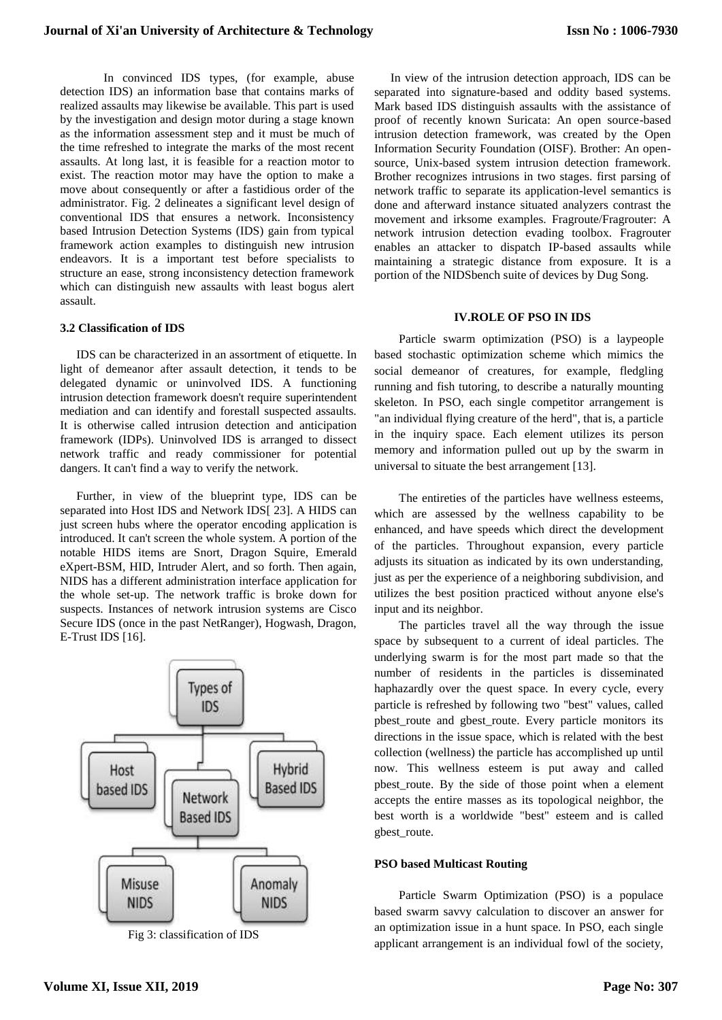In convinced IDS types, (for example, abuse detection IDS) an information base that contains marks of realized assaults may likewise be available. This part is used by the investigation and design motor during a stage known as the information assessment step and it must be much of the time refreshed to integrate the marks of the most recent assaults. At long last, it is feasible for a reaction motor to exist. The reaction motor may have the option to make a move about consequently or after a fastidious order of the administrator. Fig. 2 delineates a significant level design of conventional IDS that ensures a network. Inconsistency based Intrusion Detection Systems (IDS) gain from typical framework action examples to distinguish new intrusion endeavors. It is a important test before specialists to structure an ease, strong inconsistency detection framework which can distinguish new assaults with least bogus alert assault.

#### **3.2 Classification of IDS**

IDS can be characterized in an assortment of etiquette. In light of demeanor after assault detection, it tends to be delegated dynamic or uninvolved IDS. A functioning intrusion detection framework doesn't require superintendent mediation and can identify and forestall suspected assaults. It is otherwise called intrusion detection and anticipation framework (IDPs). Uninvolved IDS is arranged to dissect network traffic and ready commissioner for potential dangers. It can't find a way to verify the network.

Further, in view of the blueprint type, IDS can be separated into Host IDS and Network IDS[ 23]. A HIDS can just screen hubs where the operator encoding application is introduced. It can't screen the whole system. A portion of the notable HIDS items are Snort, Dragon Squire, Emerald eXpert-BSM, HID, Intruder Alert, and so forth. Then again, NIDS has a different administration interface application for the whole set-up. The network traffic is broke down for suspects. Instances of network intrusion systems are Cisco Secure IDS (once in the past NetRanger), Hogwash, Dragon, E-Trust IDS [16].



Fig 3: classification of IDS

In view of the intrusion detection approach, IDS can be separated into signature-based and oddity based systems. Mark based IDS distinguish assaults with the assistance of proof of recently known Suricata: An open source-based intrusion detection framework, was created by the Open Information Security Foundation (OISF). Brother: An opensource, Unix-based system intrusion detection framework. Brother recognizes intrusions in two stages. first parsing of network traffic to separate its application-level semantics is done and afterward instance situated analyzers contrast the movement and irksome examples. Fragroute/Fragrouter: A network intrusion detection evading toolbox. Fragrouter enables an attacker to dispatch IP-based assaults while maintaining a strategic distance from exposure. It is a portion of the NIDSbench suite of devices by Dug Song.

#### **IV.ROLE OF PSO IN IDS**

Particle swarm optimization (PSO) is a laypeople based stochastic optimization scheme which mimics the social demeanor of creatures, for example, fledgling running and fish tutoring, to describe a naturally mounting skeleton. In PSO, each single competitor arrangement is "an individual flying creature of the herd", that is, a particle in the inquiry space. Each element utilizes its person memory and information pulled out up by the swarm in universal to situate the best arrangement [13].

The entireties of the particles have wellness esteems, which are assessed by the wellness capability to be enhanced, and have speeds which direct the development of the particles. Throughout expansion, every particle adjusts its situation as indicated by its own understanding, just as per the experience of a neighboring subdivision, and utilizes the best position practiced without anyone else's input and its neighbor.

The particles travel all the way through the issue space by subsequent to a current of ideal particles. The underlying swarm is for the most part made so that the number of residents in the particles is disseminated haphazardly over the quest space. In every cycle, every particle is refreshed by following two "best" values, called pbest\_route and gbest\_route. Every particle monitors its directions in the issue space, which is related with the best collection (wellness) the particle has accomplished up until now. This wellness esteem is put away and called pbest\_route. By the side of those point when a element accepts the entire masses as its topological neighbor, the best worth is a worldwide "best" esteem and is called gbest\_route.

#### **PSO based Multicast Routing**

Particle Swarm Optimization (PSO) is a populace based swarm savvy calculation to discover an answer for an optimization issue in a hunt space. In PSO, each single applicant arrangement is an individual fowl of the society,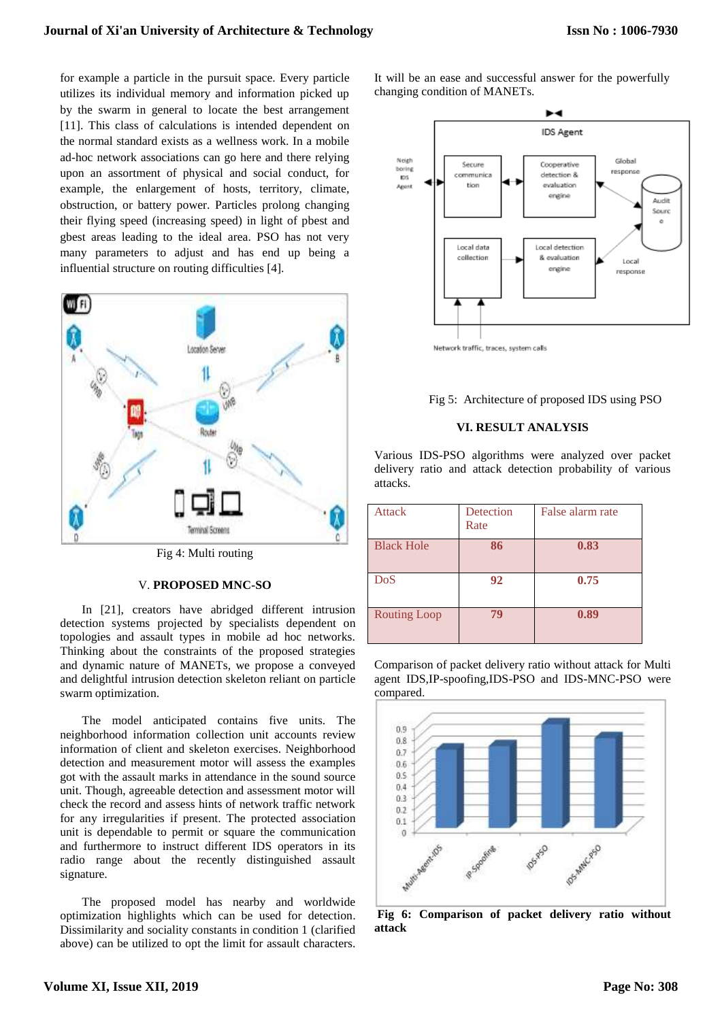for example a particle in the pursuit space. Every particle utilizes its individual memory and information picked up by the swarm in general to locate the best arrangement [11]. This class of calculations is intended dependent on the normal standard exists as a wellness work. In a mobile ad-hoc network associations can go here and there relying upon an assortment of physical and social conduct, for example, the enlargement of hosts, territory, climate, obstruction, or battery power. Particles prolong changing their flying speed (increasing speed) in light of pbest and gbest areas leading to the ideal area. PSO has not very many parameters to adjust and has end up being a influential structure on routing difficulties [4].



Fig 4: Multi routing

### V. **PROPOSED MNC-SO**

In [21], creators have abridged different intrusion detection systems projected by specialists dependent on topologies and assault types in mobile ad hoc networks. Thinking about the constraints of the proposed strategies and dynamic nature of MANETs, we propose a conveyed and delightful intrusion detection skeleton reliant on particle swarm optimization.

The model anticipated contains five units. The neighborhood information collection unit accounts review information of client and skeleton exercises. Neighborhood detection and measurement motor will assess the examples got with the assault marks in attendance in the sound source unit. Though, agreeable detection and assessment motor will check the record and assess hints of network traffic network for any irregularities if present. The protected association unit is dependable to permit or square the communication and furthermore to instruct different IDS operators in its radio range about the recently distinguished assault signature.

The proposed model has nearby and worldwide optimization highlights which can be used for detection. Dissimilarity and sociality constants in condition 1 (clarified above) can be utilized to opt the limit for assault characters.

It will be an ease and successful answer for the powerfully changing condition of MANETs.



Fig 5: Architecture of proposed IDS using PSO

#### **VI. RESULT ANALYSIS**

Various IDS-PSO algorithms were analyzed over packet delivery ratio and attack detection probability of various attacks.

| <b>Attack</b>       | Detection<br>Rate | False alarm rate |
|---------------------|-------------------|------------------|
| <b>Black Hole</b>   | 86                | 0.83             |
| DoS                 | 92                | 0.75             |
| <b>Routing Loop</b> | 79                | 0.89             |

Comparison of packet delivery ratio without attack for Multi agent IDS,IP-spoofing,IDS-PSO and IDS-MNC-PSO were compared.



**Fig 6: Comparison of packet delivery ratio without attack**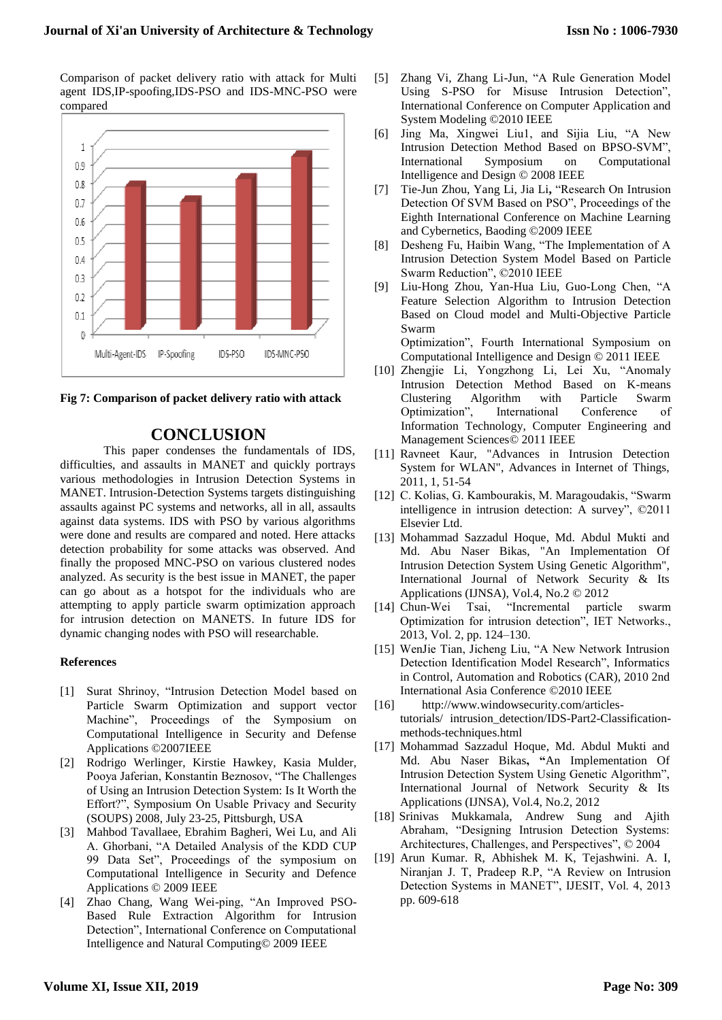Comparison of packet delivery ratio with attack for Multi agent IDS,IP-spoofing,IDS-PSO and IDS-MNC-PSO were compared





# **CONCLUSION**

This paper condenses the fundamentals of IDS, difficulties, and assaults in MANET and quickly portrays various methodologies in Intrusion Detection Systems in MANET. Intrusion-Detection Systems targets distinguishing assaults against PC systems and networks, all in all, assaults against data systems. IDS with PSO by various algorithms were done and results are compared and noted. Here attacks detection probability for some attacks was observed. And finally the proposed MNC-PSO on various clustered nodes analyzed. As security is the best issue in MANET, the paper can go about as a hotspot for the individuals who are attempting to apply particle swarm optimization approach for intrusion detection on MANETS. In future IDS for dynamic changing nodes with PSO will researchable.

## **References**

- [1] Surat Shrinoy, "Intrusion Detection Model based on Particle Swarm Optimization and support vector Machine", Proceedings of the Symposium on Computational Intelligence in Security and Defense Applications ©2007IEEE
- [2] Rodrigo Werlinger, Kirstie Hawkey, Kasia Mulder, Pooya Jaferian, Konstantin Beznosov, "The Challenges of Using an Intrusion Detection System: Is It Worth the Effort?", Symposium On Usable Privacy and Security (SOUPS) 2008, July 23-25, Pittsburgh, USA
- [3] Mahbod Tavallaee, Ebrahim Bagheri, Wei Lu, and Ali A. Ghorbani, "A Detailed Analysis of the KDD CUP 99 Data Set", Proceedings of the symposium on Computational Intelligence in Security and Defence Applications © 2009 IEEE
- [4] Zhao Chang, Wang Wei-ping, "An Improved PSO-Based Rule Extraction Algorithm for Intrusion Detection", International Conference on Computational Intelligence and Natural Computing© 2009 IEEE
- [5] Zhang Vi, Zhang Li-Jun, "A Rule Generation Model Using S-PSO for Misuse Intrusion Detection", International Conference on Computer Application and System Modeling ©2010 IEEE
- [6] Jing Ma, Xingwei Liu1, and Sijia Liu, "A New Intrusion Detection Method Based on BPSO-SVM", International Symposium on Computational Intelligence and Design © 2008 IEEE
- [7] Tie-Jun Zhou, Yang Li, Jia Li**,** "Research On Intrusion Detection Of SVM Based on PSO", Proceedings of the Eighth International Conference on Machine Learning and Cybernetics, Baoding ©2009 IEEE
- [8] Desheng Fu, Haibin Wang, "The Implementation of A Intrusion Detection System Model Based on Particle Swarm Reduction", ©2010 IEEE
- [9] Liu-Hong Zhou, Yan-Hua Liu, Guo-Long Chen, "A Feature Selection Algorithm to Intrusion Detection Based on Cloud model and Multi-Objective Particle Swarm

Optimization", Fourth International Symposium on Computational Intelligence and Design © 2011 IEEE

- [10] Zhengjie Li, Yongzhong Li, Lei Xu, "Anomaly Intrusion Detection Method Based on K-means Clustering Algorithm with Particle Swarm Optimization", International Conference of Information Technology, Computer Engineering and Management Sciences© 2011 IEEE
- [11] Ravneet Kaur, "Advances in Intrusion Detection System for WLAN", Advances in Internet of Things, 2011, 1, 51-54
- [12] C. Kolias, G. Kambourakis, M. Maragoudakis, "Swarm intelligence in intrusion detection: A survey", ©2011 Elsevier Ltd.
- [13] Mohammad Sazzadul Hoque, Md. Abdul Mukti and Md. Abu Naser Bikas, "An Implementation Of Intrusion Detection System Using Genetic Algorithm", International Journal of Network Security & Its Applications (IJNSA), Vol.4, No.2 © 2012
- [14] Chun-Wei Tsai, "Incremental particle swarm Optimization for intrusion detection", IET Networks., 2013, Vol. 2, pp. 124–130.
- [15] WenJie Tian, Jicheng Liu, "A New Network Intrusion Detection Identification Model Research", Informatics in Control, Automation and Robotics (CAR), 2010 2nd International Asia Conference ©2010 IEEE
- [16] http://www.windowsecurity.com/articlestutorials/ intrusion\_detection/IDS-Part2-Classificationmethods-techniques.html
- [17] Mohammad Sazzadul Hoque, Md. Abdul Mukti and Md. Abu Naser Bikas**, "**An Implementation Of Intrusion Detection System Using Genetic Algorithm", International Journal of Network Security & Its Applications (IJNSA), Vol.4, No.2, 2012
- [18] Srinivas Mukkamala, Andrew Sung and Ajith Abraham, "Designing Intrusion Detection Systems: Architectures, Challenges, and Perspectives", © 2004
- [19] Arun Kumar. R, Abhishek M. K, Tejashwini. A. I, Niranjan J. T, Pradeep R.P, "A Review on Intrusion Detection Systems in MANET", IJESIT, Vol. 4, 2013 pp. 609-618